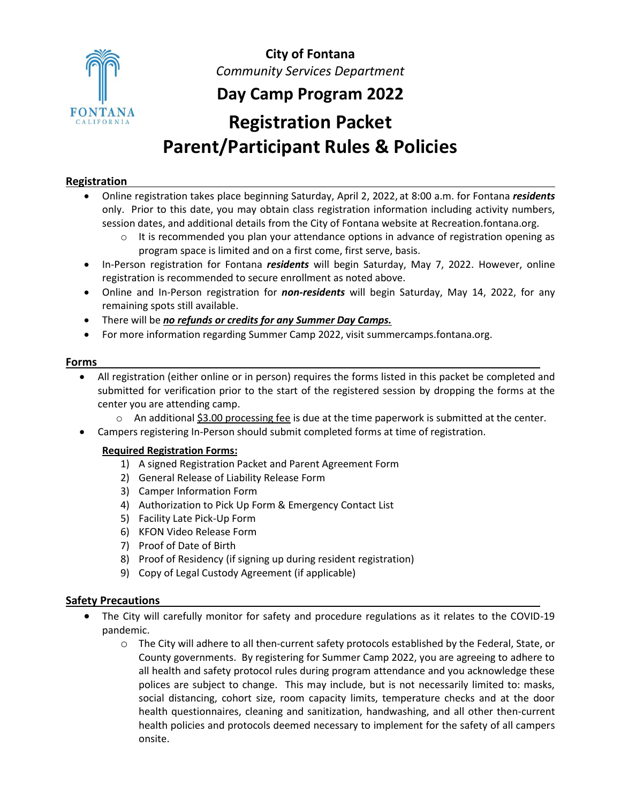

**City of Fontana** *Community Services Department*

## **Day Camp Program 2022**

# **Registration Packet Parent/Participant Rules & Policies**

#### **Registration**

- Online registration takes place beginning Saturday, April 2, 2022, at 8:00 a.m. for Fontana *residents*  only. Prior to this date, you may obtain class registration information including activity numbers, session dates, and additional details from the City of Fontana website at Recreation.fontana.org.
	- $\circ$  It is recommended you plan your attendance options in advance of registration opening as program space is limited and on a first come, first serve, basis.
- In-Person registration for Fontana *residents* will begin Saturday, May 7, 2022. However, online registration is recommended to secure enrollment as noted above.
- Online and In-Person registration for *non-residents* will begin Saturday, May 14, 2022, for any remaining spots still available.
- There will be *no refunds or credits for any Summer Day Camps.*
- For more information regarding Summer Camp 2022, visit summercamps.fontana.org.

#### **Forms**

- All registration (either online or in person) requires the forms listed in this packet be completed and submitted for verification prior to the start of the registered session by dropping the forms at the center you are attending camp.
	- $\circ$  An additional \$3.00 processing fee is due at the time paperwork is submitted at the center.
- Campers registering In-Person should submit completed forms at time of registration.

#### **Required Registration Forms:**

- 1) A signed Registration Packet and Parent Agreement Form
- 2) General Release of Liability Release Form
- 3) Camper Information Form
- 4) Authorization to Pick Up Form & Emergency Contact List
- 5) Facility Late Pick-Up Form
- 6) KFON Video Release Form
- 7) Proof of Date of Birth
- 8) Proof of Residency (if signing up during resident registration)
- 9) Copy of Legal Custody Agreement (if applicable)

#### **Safety Precautions**

- The City will carefully monitor for safety and procedure regulations as it relates to the COVID-19 pandemic.
	- o The City will adhere to all then-current safety protocols established by the Federal, State, or County governments. By registering for Summer Camp 2022, you are agreeing to adhere to all health and safety protocol rules during program attendance and you acknowledge these polices are subject to change. This may include, but is not necessarily limited to: masks, social distancing, cohort size, room capacity limits, temperature checks and at the door health questionnaires, cleaning and sanitization, handwashing, and all other then-current health policies and protocols deemed necessary to implement for the safety of all campers onsite.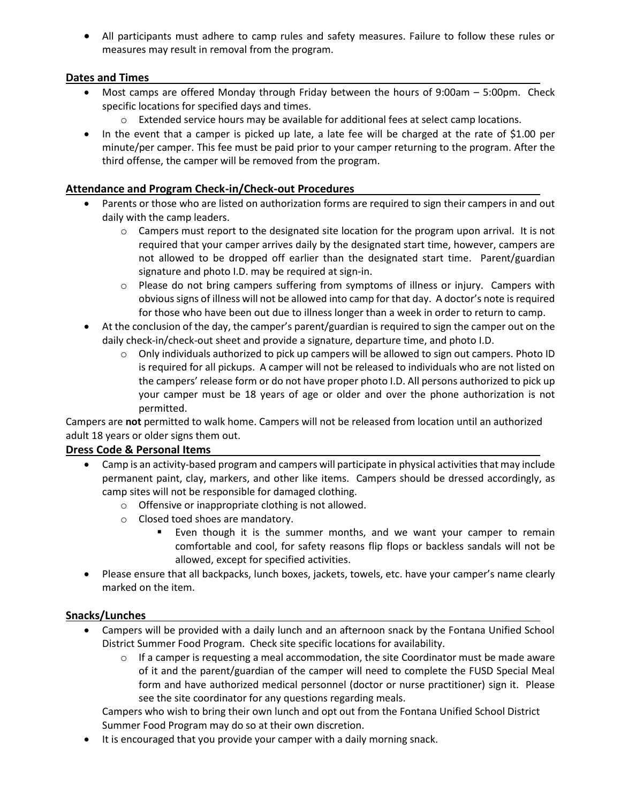• All participants must adhere to camp rules and safety measures. Failure to follow these rules or measures may result in removal from the program.

#### **Dates and Times**

- Most camps are offered Monday through Friday between the hours of 9:00am 5:00pm. Check specific locations for specified days and times.
	- $\circ$  Extended service hours may be available for additional fees at select camp locations.
- In the event that a camper is picked up late, a late fee will be charged at the rate of \$1.00 per minute/per camper. This fee must be paid prior to your camper returning to the program. After the third offense, the camper will be removed from the program.

#### **Attendance and Program Check-in/Check-out Procedures**

- Parents or those who are listed on authorization forms are required to sign their campers in and out daily with the camp leaders.
	- $\circ$  Campers must report to the designated site location for the program upon arrival. It is not required that your camper arrives daily by the designated start time, however, campers are not allowed to be dropped off earlier than the designated start time. Parent/guardian signature and photo I.D. may be required at sign-in.
	- $\circ$  Please do not bring campers suffering from symptoms of illness or injury. Campers with obvious signs of illness will not be allowed into camp for that day. A doctor's note is required for those who have been out due to illness longer than a week in order to return to camp.
- At the conclusion of the day, the camper's parent/guardian is required to sign the camper out on the daily check-in/check-out sheet and provide a signature, departure time, and photo I.D.
	- o Only individuals authorized to pick up campers will be allowed to sign out campers. Photo ID is required for all pickups. A camper will not be released to individuals who are not listed on the campers' release form or do not have proper photo I.D. All persons authorized to pick up your camper must be 18 years of age or older and over the phone authorization is not permitted.

Campers are **not** permitted to walk home. Campers will not be released from location until an authorized adult 18 years or older signs them out.

#### **Dress Code & Personal Items**

- Camp is an activity-based program and campers will participate in physical activities that may include permanent paint, clay, markers, and other like items. Campers should be dressed accordingly, as camp sites will not be responsible for damaged clothing.
	- o Offensive or inappropriate clothing is not allowed.
	- o Closed toed shoes are mandatory.
		- Even though it is the summer months, and we want your camper to remain comfortable and cool, for safety reasons flip flops or backless sandals will not be allowed, except for specified activities.
- Please ensure that all backpacks, lunch boxes, jackets, towels, etc. have your camper's name clearly marked on the item.

#### **Snacks/Lunches**

- Campers will be provided with a daily lunch and an afternoon snack by the Fontana Unified School District Summer Food Program. Check site specific locations for availability.
	- $\circ$  If a camper is requesting a meal accommodation, the site Coordinator must be made aware of it and the parent/guardian of the camper will need to complete the FUSD Special Meal form and have authorized medical personnel (doctor or nurse practitioner) sign it. Please see the site coordinator for any questions regarding meals.

Campers who wish to bring their own lunch and opt out from the Fontana Unified School District Summer Food Program may do so at their own discretion.

• It is encouraged that you provide your camper with a daily morning snack.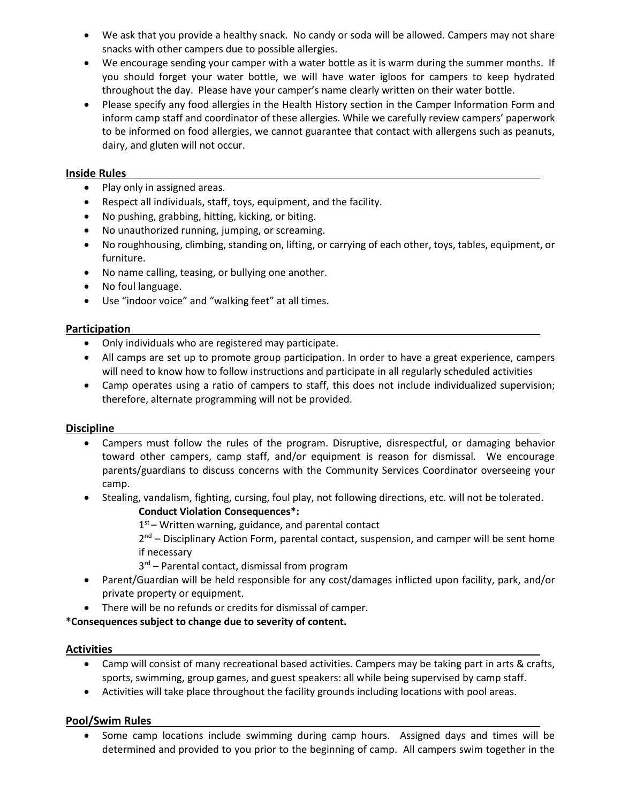- We ask that you provide a healthy snack. No candy or soda will be allowed. Campers may not share snacks with other campers due to possible allergies.
- We encourage sending your camper with a water bottle as it is warm during the summer months. If you should forget your water bottle, we will have water igloos for campers to keep hydrated throughout the day. Please have your camper's name clearly written on their water bottle.
- Please specify any food allergies in the Health History section in the Camper Information Form and inform camp staff and coordinator of these allergies. While we carefully review campers' paperwork to be informed on food allergies, we cannot guarantee that contact with allergens such as peanuts, dairy, and gluten will not occur.

#### **Inside Rules**

- Play only in assigned areas.
- Respect all individuals, staff, toys, equipment, and the facility.
- No pushing, grabbing, hitting, kicking, or biting.
- No unauthorized running, jumping, or screaming.
- No roughhousing, climbing, standing on, lifting, or carrying of each other, toys, tables, equipment, or furniture.
- No name calling, teasing, or bullying one another.
- No foul language.
- Use "indoor voice" and "walking feet" at all times.

#### **Participation**

- Only individuals who are registered may participate.
- All camps are set up to promote group participation. In order to have a great experience, campers will need to know how to follow instructions and participate in all regularly scheduled activities
- Camp operates using a ratio of campers to staff, this does not include individualized supervision; therefore, alternate programming will not be provided.

#### **Discipline**

- Campers must follow the rules of the program. Disruptive, disrespectful, or damaging behavior toward other campers, camp staff, and/or equipment is reason for dismissal. We encourage parents/guardians to discuss concerns with the Community Services Coordinator overseeing your camp.
- Stealing, vandalism, fighting, cursing, foul play, not following directions, etc. will not be tolerated.
	- **Conduct Violation Consequences\*:**  1<sup>st</sup> – Written warning, guidance, and parental contact
	- 2<sup>nd</sup> Disciplinary Action Form, parental contact, suspension, and camper will be sent home if necessary
	- 3<sup>rd</sup> Parental contact, dismissal from program
- Parent/Guardian will be held responsible for any cost/damages inflicted upon facility, park, and/or private property or equipment.
- There will be no refunds or credits for dismissal of camper.

**\*Consequences subject to change due to severity of content.**

#### **Activities**

- Camp will consist of many recreational based activities. Campers may be taking part in arts & crafts, sports, swimming, group games, and guest speakers: all while being supervised by camp staff.
- Activities will take place throughout the facility grounds including locations with pool areas.

#### **Pool/Swim Rules**

• Some camp locations include swimming during camp hours. Assigned days and times will be determined and provided to you prior to the beginning of camp. All campers swim together in the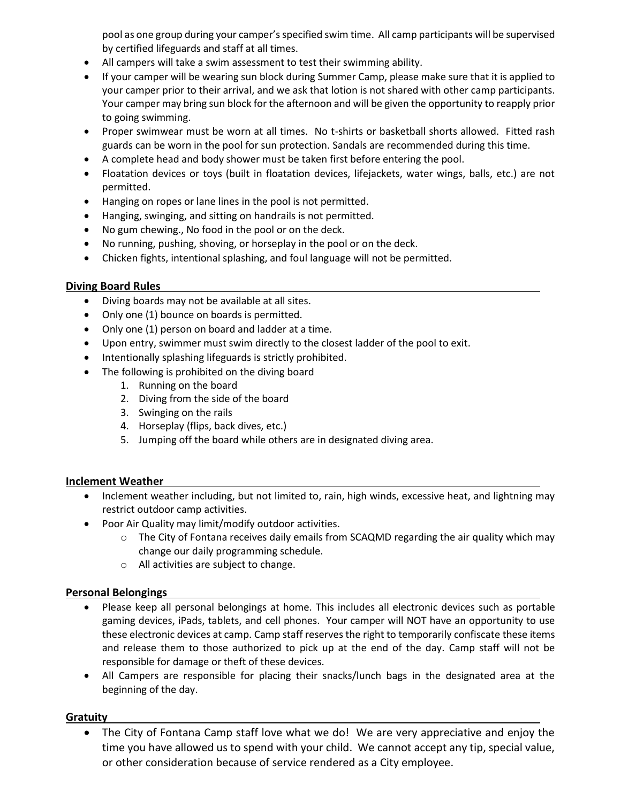pool as one group during your camper'sspecified swim time. All camp participants will be supervised by certified lifeguards and staff at all times.

- All campers will take a swim assessment to test their swimming ability.
- If your camper will be wearing sun block during Summer Camp, please make sure that it is applied to your camper prior to their arrival, and we ask that lotion is not shared with other camp participants. Your camper may bring sun block for the afternoon and will be given the opportunity to reapply prior to going swimming.
- Proper swimwear must be worn at all times. No t-shirts or basketball shorts allowed. Fitted rash guards can be worn in the pool for sun protection. Sandals are recommended during this time.
- A complete head and body shower must be taken first before entering the pool.
- Floatation devices or toys (built in floatation devices, lifejackets, water wings, balls, etc.) are not permitted.
- Hanging on ropes or lane lines in the pool is not permitted.
- Hanging, swinging, and sitting on handrails is not permitted.
- No gum chewing., No food in the pool or on the deck.
- No running, pushing, shoving, or horseplay in the pool or on the deck.
- Chicken fights, intentional splashing, and foul language will not be permitted.

#### **Diving Board Rules**

- Diving boards may not be available at all sites.
- Only one (1) bounce on boards is permitted.
- Only one (1) person on board and ladder at a time.
- Upon entry, swimmer must swim directly to the closest ladder of the pool to exit.
- Intentionally splashing lifeguards is strictly prohibited.
- The following is prohibited on the diving board
	- 1. Running on the board
	- 2. Diving from the side of the board
	- 3. Swinging on the rails
	- 4. Horseplay (flips, back dives, etc.)
	- 5. Jumping off the board while others are in designated diving area.

#### **Inclement Weather**

- Inclement weather including, but not limited to, rain, high winds, excessive heat, and lightning may restrict outdoor camp activities.
- Poor Air Quality may limit/modify outdoor activities.
	- $\circ$  The City of Fontana receives daily emails from SCAQMD regarding the air quality which may change our daily programming schedule.
	- o All activities are subject to change.

#### **Personal Belongings**

- Please keep all personal belongings at home. This includes all electronic devices such as portable gaming devices, iPads, tablets, and cell phones. Your camper will NOT have an opportunity to use these electronic devices at camp. Camp staff reserves the right to temporarily confiscate these items and release them to those authorized to pick up at the end of the day. Camp staff will not be responsible for damage or theft of these devices.
- All Campers are responsible for placing their snacks/lunch bags in the designated area at the beginning of the day.

#### **Gratuity**

• The City of Fontana Camp staff love what we do! We are very appreciative and enjoy the time you have allowed us to spend with your child. We cannot accept any tip, special value, or other consideration because of service rendered as a City employee.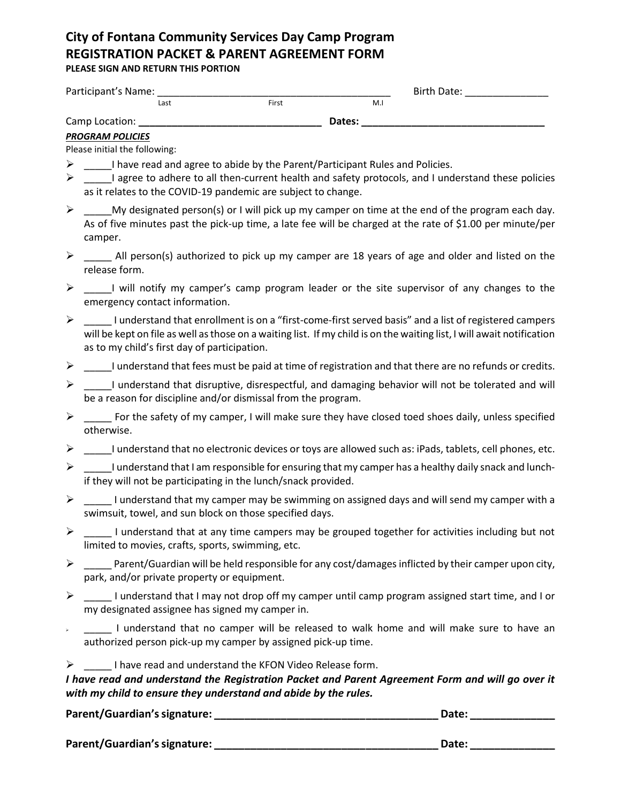# **City of Fontana Community Services Day Camp Program REGISTRATION PACKET & PARENT AGREEMENT FORM**

**PLEASE SIGN AND RETURN THIS PORTION**

| Participant's Name: |      |       |                | Birth Date: |
|---------------------|------|-------|----------------|-------------|
|                     | Last | First | M <sub>1</sub> |             |
| Camp Location:      |      |       | Dates:         |             |

#### *PROGRAM POLICIES*

Please initial the following:

- $\triangleright$  I have read and agree to abide by the Parent/Participant Rules and Policies.
- $\triangleright$  \_\_\_\_\_\_I agree to adhere to all then-current health and safety protocols, and I understand these policies as it relates to the COVID-19 pandemic are subject to change.
- $\triangleright$  My designated person(s) or I will pick up my camper on time at the end of the program each day. As of five minutes past the pick-up time, a late fee will be charged at the rate of \$1.00 per minute/per camper.
- $\triangleright$  \_\_\_\_\_\_ All person(s) authorized to pick up my camper are 18 years of age and older and listed on the release form.
- ➢ \_\_\_\_\_I will notify my camper's camp program leader or the site supervisor of any changes to the emergency contact information.
- $\triangleright$  Lunderstand that enrollment is on a "first-come-first served basis" and a list of registered campers will be kept on file as well as those on a waiting list. If my child is on the waiting list, I will await notification as to my child's first day of participation.
- $\triangleright$  \_\_\_\_\_\_I understand that fees must be paid at time of registration and that there are no refunds or credits.
- $\triangleright$  I understand that disruptive, disrespectful, and damaging behavior will not be tolerated and will be a reason for discipline and/or dismissal from the program.
- $\triangleright$  For the safety of my camper, I will make sure they have closed toed shoes daily, unless specified otherwise.
- $\triangleright$  \_\_\_\_\_\_I understand that no electronic devices or toys are allowed such as: iPads, tablets, cell phones, etc.
- $\triangleright$  \_\_\_\_\_\_I understand that I am responsible for ensuring that my camper has a healthy daily snack and lunchif they will not be participating in the lunch/snack provided.
- $\triangleright$  lunderstand that my camper may be swimming on assigned days and will send my camper with a swimsuit, towel, and sun block on those specified days.
- $\triangleright$  \_\_\_\_\_ I understand that at any time campers may be grouped together for activities including but not limited to movies, crafts, sports, swimming, etc.
- $\triangleright$  Parent/Guardian will be held responsible for any cost/damages inflicted by their camper upon city, park, and/or private property or equipment.
- $\triangleright$  I understand that I may not drop off my camper until camp program assigned start time, and I or my designated assignee has signed my camper in.
- ➢ \_\_\_\_\_ I understand that no camper will be released to walk home and will make sure to have an authorized person pick-up my camper by assigned pick-up time.

 $\triangleright$  I have read and understand the KFON Video Release form.

*I have read and understand the Registration Packet and Parent Agreement Form and will go over it with my child to ensure they understand and abide by the rules.* 

| Parent/Guardian's signature: |  | Date: |  |
|------------------------------|--|-------|--|
|------------------------------|--|-------|--|

**Parent/Guardian's signature: \_\_\_\_\_\_\_\_\_\_\_\_\_\_\_\_\_\_\_\_\_\_\_\_\_\_\_\_\_\_\_\_\_\_\_\_\_ Date: \_\_\_\_\_\_\_\_\_\_\_\_\_\_**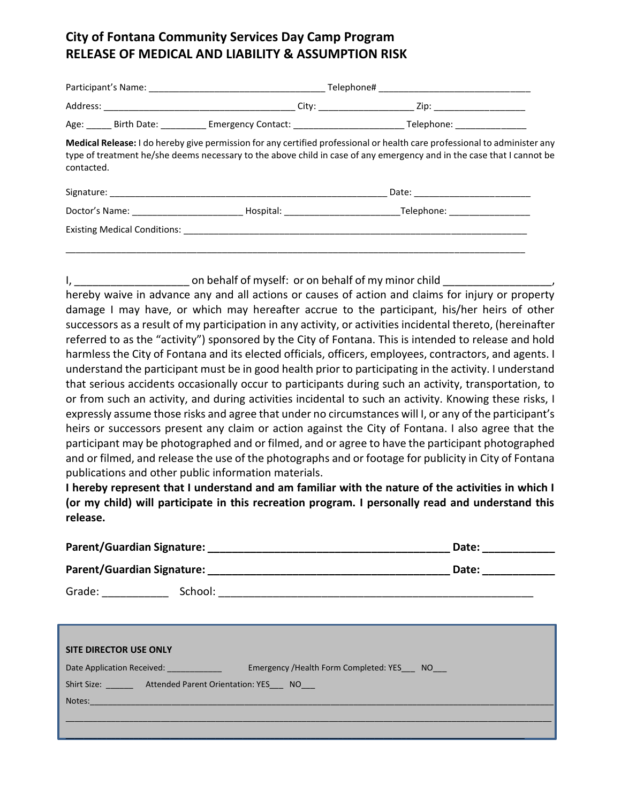### **City of Fontana Community Services Day Camp Program RELEASE OF MEDICAL AND LIABILITY & ASSUMPTION RISK**

| contacted.                                                                                                                                                                                                                     |  | Medical Release: I do hereby give permission for any certified professional or health care professional to administer any<br>type of treatment he/she deems necessary to the above child in case of any emergency and in the case that I cannot be |  |
|--------------------------------------------------------------------------------------------------------------------------------------------------------------------------------------------------------------------------------|--|----------------------------------------------------------------------------------------------------------------------------------------------------------------------------------------------------------------------------------------------------|--|
|                                                                                                                                                                                                                                |  | Date: ___________________________                                                                                                                                                                                                                  |  |
|                                                                                                                                                                                                                                |  |                                                                                                                                                                                                                                                    |  |
| Existing Medical Conditions: Note and American Conditions and American Conditions of the American Conditions of the American Conditions of the American Conditions of the American Conditions of the American Conditions of th |  |                                                                                                                                                                                                                                                    |  |

I, the same on behalf of myself: or on behalf of my minor child  $\overline{a}$ 

\_\_\_\_\_\_\_\_\_\_\_\_\_\_\_\_\_\_\_\_\_\_\_\_\_\_\_\_\_\_\_\_\_\_\_\_\_\_\_\_\_\_\_\_\_\_\_\_\_\_\_\_\_\_\_\_\_\_\_\_\_\_\_\_\_\_\_\_\_\_\_\_\_\_\_\_\_\_\_\_\_\_\_\_\_\_\_\_\_\_\_

hereby waive in advance any and all actions or causes of action and claims for injury or property damage I may have, or which may hereafter accrue to the participant, his/her heirs of other successors as a result of my participation in any activity, or activities incidental thereto, (hereinafter referred to as the "activity") sponsored by the City of Fontana. This is intended to release and hold harmless the City of Fontana and its elected officials, officers, employees, contractors, and agents. I understand the participant must be in good health prior to participating in the activity. I understand that serious accidents occasionally occur to participants during such an activity, transportation, to or from such an activity, and during activities incidental to such an activity. Knowing these risks, I expressly assume those risks and agree that under no circumstances will I, or any of the participant's heirs or successors present any claim or action against the City of Fontana. I also agree that the participant may be photographed and or filmed, and or agree to have the participant photographed and or filmed, and release the use of the photographs and or footage for publicity in City of Fontana publications and other public information materials.

**I hereby represent that I understand and am familiar with the nature of the activities in which I (or my child) will participate in this recreation program. I personally read and understand this release.**

|                               |                                                                                                                                                                                                                                | Date:              |  |
|-------------------------------|--------------------------------------------------------------------------------------------------------------------------------------------------------------------------------------------------------------------------------|--------------------|--|
|                               |                                                                                                                                                                                                                                | Date: ____________ |  |
|                               | Grade: School: School: School: School: School: School: School: School: School: School: School: School: School: School: School: School: School: School: School: School: School: School: School: School: School: School: School: |                    |  |
|                               |                                                                                                                                                                                                                                |                    |  |
|                               |                                                                                                                                                                                                                                |                    |  |
| <b>SITE DIRECTOR USE ONLY</b> |                                                                                                                                                                                                                                |                    |  |
|                               | Date Application Received: Emergency / Health Form Completed: YES NO                                                                                                                                                           |                    |  |
|                               | Shirt Size: Attended Parent Orientation: YES NO                                                                                                                                                                                |                    |  |
|                               | Notes: Notes: And the Contract of the Contract of the Contract of the Contract of the Contract of the Contract of the Contract of the Contract of the Contract of the Contract of the Contract of the Contract of the Contract |                    |  |
|                               |                                                                                                                                                                                                                                |                    |  |
|                               |                                                                                                                                                                                                                                |                    |  |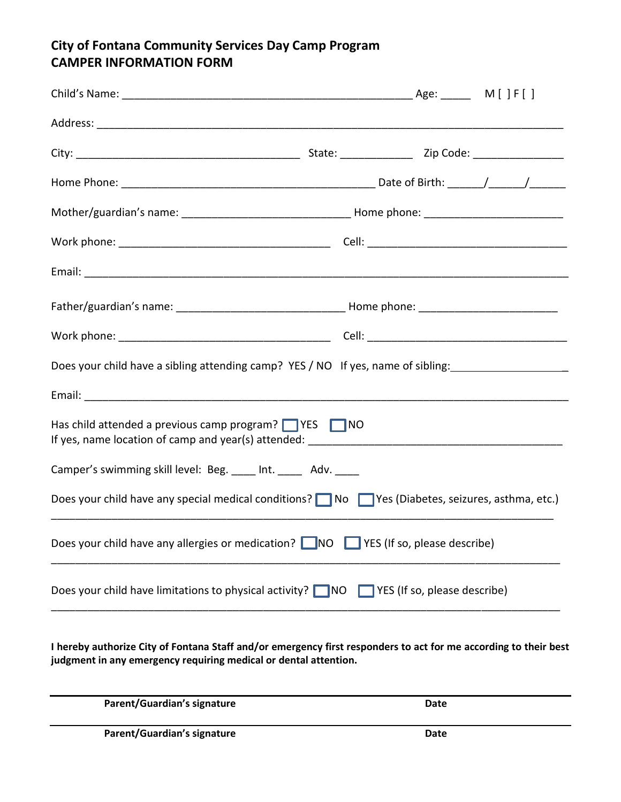### **City of Fontana Community Services Day Camp Program CAMPER INFORMATION FORM**

| Does your child have a sibling attending camp? YES / NO If yes, name of sibling: __________________  |  |  |
|------------------------------------------------------------------------------------------------------|--|--|
|                                                                                                      |  |  |
| Has child attended a previous camp program? $\Box$ YES $\Box$ NO                                     |  |  |
| Camper's swimming skill level: Beg. ____ Int. _____ Adv. ____                                        |  |  |
| Does your child have any special medical conditions? No Nes (Diabetes, seizures, asthma, etc.)       |  |  |
| Does your child have any allergies or medication? NO NES (If so, please describe)                    |  |  |
| Does your child have limitations to physical activity? $\Box$ NO $\Box$ YES (If so, please describe) |  |  |

**I hereby authorize City of Fontana Staff and/or emergency first responders to act for me according to their best judgment in any emergency requiring medical or dental attention.**

| Parent/Guardian's signature | Date |
|-----------------------------|------|
| Parent/Guardian's signature | Date |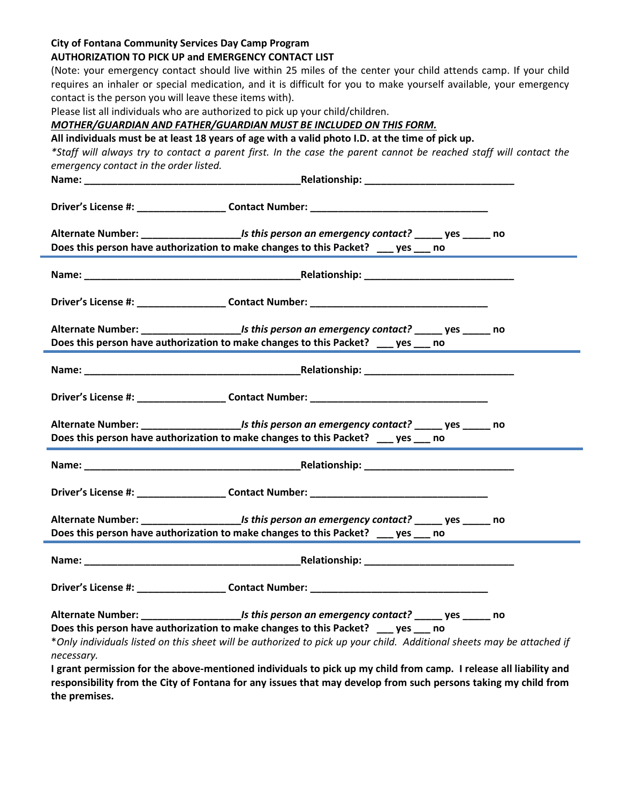#### **City of Fontana Community Services Day Camp Program**

Ē.

E

#### **AUTHORIZATION TO PICK UP and EMERGENCY CONTACT LIST**

(Note: your emergency contact should live within 25 miles of the center your child attends camp. If your child requires an inhaler or special medication, and it is difficult for you to make yourself available, your emergency contact is the person you will leave these items with).

Please list all individuals who are authorized to pick up your child/children.

*MOTHER/GUARDIAN AND FATHER/GUARDIAN MUST BE INCLUDED ON THIS FORM.*

**All individuals must be at least 18 years of age with a valid photo I.D. at the time of pick up.**

*\*Staff will always try to contact a parent first. In the case the parent cannot be reached staff will contact the emergency contact in the order listed.*

|            | Does this person have authorization to make changes to this Packet? ___ yes ___ no                                                                                                                             |  |
|------------|----------------------------------------------------------------------------------------------------------------------------------------------------------------------------------------------------------------|--|
|            |                                                                                                                                                                                                                |  |
|            |                                                                                                                                                                                                                |  |
|            | Alternate Number: __________________________________Is this person an emergency contact? _______ yes _______ no<br>Does this person have authorization to make changes to this Packet? ___ yes ___ no          |  |
|            |                                                                                                                                                                                                                |  |
|            |                                                                                                                                                                                                                |  |
|            | Does this person have authorization to make changes to this Packet? __ yes __ no                                                                                                                               |  |
|            |                                                                                                                                                                                                                |  |
|            | Driver's License #: _____________________Contact Number: ________________________                                                                                                                              |  |
|            | Does this person have authorization to make changes to this Packet? ___ yes ___ no                                                                                                                             |  |
|            |                                                                                                                                                                                                                |  |
|            |                                                                                                                                                                                                                |  |
|            |                                                                                                                                                                                                                |  |
| necessary. | Does this person have authorization to make changes to this Packet? _____ yes ____ no<br>*Only individuals listed on this sheet will be authorized to pick up your child. Additional sheets may be attached if |  |
|            | I grant permission for the above-mentioned individuals to pick up my child from camp. I release all liability and                                                                                              |  |

**responsibility from the City of Fontana for any issues that may develop from such persons taking my child from the premises.**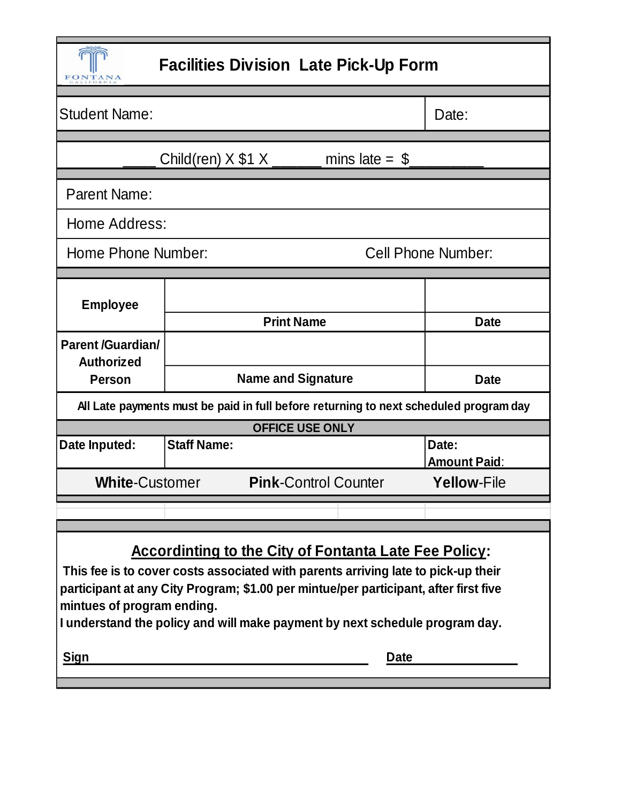| <b>Facilities Division Late Pick-Up Form</b><br>FONTAN                                                                                                                                                                                                                                                                                                 |                                                                                                                 |                              |
|--------------------------------------------------------------------------------------------------------------------------------------------------------------------------------------------------------------------------------------------------------------------------------------------------------------------------------------------------------|-----------------------------------------------------------------------------------------------------------------|------------------------------|
| <b>Student Name:</b>                                                                                                                                                                                                                                                                                                                                   |                                                                                                                 | Date:                        |
|                                                                                                                                                                                                                                                                                                                                                        | Child(ren) $X $1 X$ _______<br>mins late $=$ \$                                                                 |                              |
| <b>Parent Name:</b>                                                                                                                                                                                                                                                                                                                                    |                                                                                                                 |                              |
| Home Address:                                                                                                                                                                                                                                                                                                                                          |                                                                                                                 |                              |
| Home Phone Number:                                                                                                                                                                                                                                                                                                                                     |                                                                                                                 | <b>Cell Phone Number:</b>    |
| <b>Employee</b>                                                                                                                                                                                                                                                                                                                                        | <b>Print Name</b>                                                                                               | <b>Date</b>                  |
| <b>Parent /Guardian/</b><br><b>Authorized</b>                                                                                                                                                                                                                                                                                                          |                                                                                                                 |                              |
| <b>Person</b>                                                                                                                                                                                                                                                                                                                                          | <b>Name and Signature</b><br><b>Date</b>                                                                        |                              |
|                                                                                                                                                                                                                                                                                                                                                        | All Late payments must be paid in full before returning to next scheduled program day<br><b>OFFICE USE ONLY</b> |                              |
| Date Inputed:                                                                                                                                                                                                                                                                                                                                          | <b>Staff Name:</b>                                                                                              | Date:<br><b>Amount Paid:</b> |
| <b>White-Customer</b>                                                                                                                                                                                                                                                                                                                                  | <b>Pink-Control Counter</b>                                                                                     | <b>Yellow-File</b>           |
|                                                                                                                                                                                                                                                                                                                                                        |                                                                                                                 |                              |
| <b>Accordinting to the City of Fontanta Late Fee Policy:</b><br>This fee is to cover costs associated with parents arriving late to pick-up their<br>participant at any City Program; \$1.00 per mintue/per participant, after first five<br>mintues of program ending.<br>I understand the policy and will make payment by next schedule program day. |                                                                                                                 |                              |
| Sign<br><b>Date</b>                                                                                                                                                                                                                                                                                                                                    |                                                                                                                 |                              |